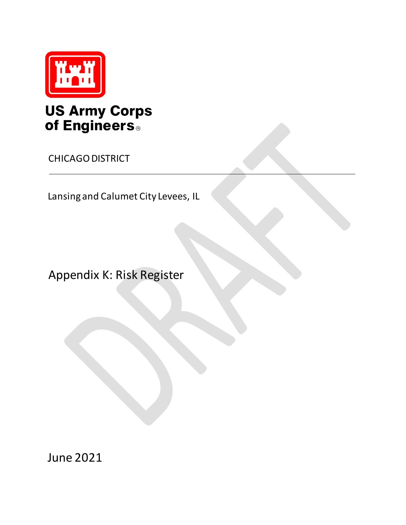

## **US Army Corps** of Engineers.

CHICAGO DISTRICT

Lansing and Calumet City Levees, IL

Appendix K: Risk Register

June 2021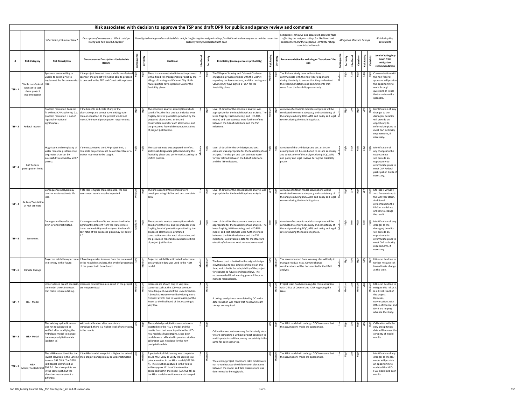| Risk associated with decision to approve the TSP and draft DPR for public and agency review and comment |                                                                          |                                                                                                                                                                        |                                                                                                                                                                                                                                                              |                 |                                                                                                                                                                                                                                                                                                                                                                       |                                                                                                                                                                                                                                                                                                            |            |                 |                                                                                                                                                                                                                                                                                                                                                   |                |                            |                                                                                                                                                                                                                              |                    |                                   |                                      |                                              |                                                                                                                                                                                                        |
|---------------------------------------------------------------------------------------------------------|--------------------------------------------------------------------------|------------------------------------------------------------------------------------------------------------------------------------------------------------------------|--------------------------------------------------------------------------------------------------------------------------------------------------------------------------------------------------------------------------------------------------------------|-----------------|-----------------------------------------------------------------------------------------------------------------------------------------------------------------------------------------------------------------------------------------------------------------------------------------------------------------------------------------------------------------------|------------------------------------------------------------------------------------------------------------------------------------------------------------------------------------------------------------------------------------------------------------------------------------------------------------|------------|-----------------|---------------------------------------------------------------------------------------------------------------------------------------------------------------------------------------------------------------------------------------------------------------------------------------------------------------------------------------------------|----------------|----------------------------|------------------------------------------------------------------------------------------------------------------------------------------------------------------------------------------------------------------------------|--------------------|-----------------------------------|--------------------------------------|----------------------------------------------|--------------------------------------------------------------------------------------------------------------------------------------------------------------------------------------------------------|
|                                                                                                         |                                                                          | What is the problem or issue?                                                                                                                                          | Description of consequence. What could go<br>wrong and how could it happen?                                                                                                                                                                                  |                 | Mitigation Technique and associated data and facts<br>Unmitigated ratings and associated data and facts effecting the assigned ratings for likelihood and consequences and the respective<br>effecting the assigned ratings for likelihood and<br>certainty ratings associated with each<br>consequences and the respective certainty ratings<br>associated with each |                                                                                                                                                                                                                                                                                                            |            |                 |                                                                                                                                                                                                                                                                                                                                                   |                |                            |                                                                                                                                                                                                                              |                    | <b>Mitigation Measure Ratings</b> | <b>Risk Rating Buy</b><br>down Delta |                                              |                                                                                                                                                                                                        |
|                                                                                                         | <b>Risk Category</b>                                                     | <b>Risk Description</b>                                                                                                                                                | <b>Consequences Description - Undesirable</b><br><b>Results</b>                                                                                                                                                                                              | Õ               | Certainty                                                                                                                                                                                                                                                                                                                                                             | Likelihood                                                                                                                                                                                                                                                                                                 | Likelihood | Certainty       | <b>Risk Rating (consequences x probability)</b>                                                                                                                                                                                                                                                                                                   | Rating<br>Risk | ū                          | Recommendation for reducing or "buy down" the                                                                                                                                                                                | Con                | viure:<br>Certi                   | Likelihood                           | <b>Risk Rating</b><br>Certaint               | Level of rating buy<br>down from<br>mitigation<br>recommendation                                                                                                                                       |
| $TSP - 1$                                                                                               | Viable non-federal<br>sponsor to cost<br>share project<br>implementation | Sponsors are unwilling or<br>unable to enter a PPA to<br>Plan.                                                                                                         | If the project does not have a viable non-federal $\frac{2}{50}$<br>sponsor, the project will not be able to proceed<br>implement the Recommended to proceed to the PED and Construction phases.                                                             |                 |                                                                                                                                                                                                                                                                                                                                                                       | There is a demonstrated interest to proceed<br>with a flood risk management project by the<br>Village of Lansing and Calumet City. Both<br>municipalities have signed a FCSA for the<br>feasibility phase.                                                                                                 |            |                 | The Village of Lansing and Calumet City have<br>engaged in previous studies with the District<br> regarding the levee systems, and the Lansing and $\vert \tilde{\ge} \vert$<br>Calumet City have signed a FCSA for the<br>feasibility phase.                                                                                                     | ediur          |                            | The PM and study team will continue to<br>communicate with the non-federal sponsors<br>during the study to ensure that they understand<br>the recommendations and commitments that<br>come from the feasibility phase study. | Medium             |                                   | Low<br>High                          | $\frac{8}{10}$                               | Communication with<br>the non-federal<br>sponsors will provide<br>the opportunity to<br>work through<br>questions or issues<br>that arise from the<br>sponsors.                                        |
| $TSP - 2$                                                                                               | Federal Interest                                                         | Problem resolution does not<br>fit within a CAP authority, (i.e.<br>problem resolution is not of<br>regional or national<br>significance).                             | If the benefits and costs of any of the<br>alternative plans do not have a BCR greater<br>than or equal to 1.0, the project would not<br>meet CAP Federal participation requirements.                                                                        | ua <sub>H</sub> | n <sub>함</sub><br>High                                                                                                                                                                                                                                                                                                                                                | The economic analysis assumptions which<br>could affect the final analysis include: levee<br>fragility, level of protection provided by the<br>proposed alternatives, estimated<br>construction costs for each alternative, and<br>the presumed federal discount rate at time<br>of project justification. |            |                 | Level of detail for the economic analysis was<br>appropriate for the feasibility phase analysis. The $\frac{1}{2}$<br>levee fragility, H&H modeling, and HEC-FDA<br>model, and cost estimate were further refined<br>between the FAAM milestone and the TSP<br>milestone.                                                                         |                |                            | A review of economic model assumptions will be<br>conducted to ensure adequacy and consistency of<br>the analyses during DQC, ATR, and policy and legal<br>reviews during the feasibility phase.                             |                    | 읉                                 | Чigh<br>wo_                          | High<br>$\overline{\phantom{0}}$             | Identification of any<br>changes to the<br>damages/benefits<br>will provide an<br>opportunity to<br>reformulate plans to<br>meet CAP authority<br>requirements, if<br>necessary.                       |
| $TSP - 3$                                                                                               | <b>CAP Federal</b><br>participation limits                               | Magnitude and complexity of<br>water resource problem may<br>be greater than can be<br>successfully resolved by a CAP<br>project.                                      | If the costs exceed the CAP project limit, a<br>complete project may not be constructible or a<br>waiver may need to be sought.                                                                                                                              | ua <sub>H</sub> | uğн<br>Нів                                                                                                                                                                                                                                                                                                                                                            | The cost estimate was prepared to reflect<br>additional design data gathered during the<br>feasibility phase and performed according to $\geq$<br>USACE policies.                                                                                                                                          |            |                 | Level of detail for the civil design and cost<br>estimate was appropriate for the feasibility phase $\pm$<br>analysis. The designs and cost estimate were<br>further refined between the FAAM milestone<br>and the TSP milestone.                                                                                                                 | $\frac{1}{10}$ | Чgh                        | A review of the civil design and cost estimate<br>assumptions will be conducted to ensure adequacy<br>and consistency of the analyses during DQC, ATR,<br>and policy and legal reviews during the feasibility<br>phase.      |                    |                                   | Чigh<br>ΜOΙ                          |                                              | $\frac{5}{4}$ dentification of<br>any changes to the<br>cost estimate<br>will provide an<br>opportunity to<br>reformulate plans to<br>meet CAP Federal<br>participation limits, if<br>necessary.       |
| $TSP - 4$                                                                                               | Life Loss/Population<br>at Risk Estimate                                 | Consequence analysis may<br>over- or under-estimate life<br>loss.                                                                                                      | If life loss is higher than estimated, the risk<br>assessment results may be impacted.                                                                                                                                                                       | Ξ.              | ሌ<br>신호                                                                                                                                                                                                                                                                                                                                                               | The life loss and PAR estimates were<br>developed using LifeSim and best available<br>data.                                                                                                                                                                                                                |            |                 | Level of detail for the consequences analysis was<br>appropriate for the feasibility phase analysis.                                                                                                                                                                                                                                              |                | ua <sub>Bl</sub> H         | A review of LifeSim model assumptions will be<br>conducted to ensure adequacy and consistency of<br>the analyses during DQC, ATR, and policy and legal<br>reviews during the feasibility phase.                              | $\vec{\epsilon}$   | High                              | High                                 | <b>R</b><br>High<br>$\overline{\phantom{0}}$ | Life loss is virtually<br>zero for events up to<br>the 500-year storm.<br>Additional<br>refinements to the<br>LifeSim model are<br>unlikely to change<br>the result.                                   |
| $TSP - 5$                                                                                               | Economics                                                                | Damages and benefits are<br>over- or underestimated.                                                                                                                   | If damages and benefits are determined to be<br>significantly different from the FID estimate<br>based on feasibility-level analyses, the benefit<br>cost ratio of the proposed plans may fall below                                                         |                 |                                                                                                                                                                                                                                                                                                                                                                       | The economic analysis assumptions which<br>could affect the final analysis include: levee<br>fragility, level of protection provided by the<br>proposed alternatives, estimated<br>construction costs for each alternative, and<br>the presumed federal discount rate at time<br>of project justification. | 3          |                 | Level of detail for the economic analysis was<br>appropriate for the feasibility phase analysis. The<br>levee fragility, H&H modeling, and HEC-FDA<br>model, and cost estimate were further refined<br>between the FAAM milestone and the TSP<br>milestone. Best available data for the structure<br>elevation/values and vehicle count were used |                |                            | A review of economic model assumptions will be<br>conducted to ensure adequacy and consistency of<br>the analyses during DQC, ATR, and policy and legal<br>reviews during the feasibility phase.                             |                    |                                   | $\xi$                                | $\xi$                                        | Identification of any<br>changes to the<br>damages/benefits<br>will provide an<br>opportunity to<br>reformulate plans to<br>meet CAP authority<br>requirements, if<br>necessary.                       |
| $TSP - 6$                                                                                               | Climate Change                                                           | in intensity in the future.                                                                                                                                            | Projected rainfall may increase If flow frequencies increase from the data used<br>in the Feasibility analysis, the level of protection<br>of the project will be reduced.                                                                                   |                 |                                                                                                                                                                                                                                                                                                                                                                       | Projected rainfall is anticipated to increase.<br>Best available data was used in the H&H<br>model.                                                                                                                                                                                                        |            |                 | The levee crest is limited to the original design<br>elevation due to real estate constraints at this<br>time, which limits the adaptability of the project<br>for changes to future conditions flows. The<br>recommended flood warning plan will help to<br>manage residual risks.                                                               |                |                            | The recommended flood warning plan will help to<br>manage residual risks. Climate change<br>considerations will be documented in the H&H<br>analysis.                                                                        |                    | ugiH                              | 소<br>도                               | Air<br>Hi                                    | Little can be done to<br>further mitigate risk<br>from climate change<br>at this time.                                                                                                                 |
| $TSP - 7$                                                                                               | <b>H&amp;H Model</b>                                                     | the model shows increases<br>that make require a taking.                                                                                                               | Under a levee breach scenario, Increases downstream as a result of the project<br>are not permitted.                                                                                                                                                         |                 |                                                                                                                                                                                                                                                                                                                                                                       | Increases are shown only in very rare<br>scenarios such as the 100-year event, or<br>more frequent events if the levee breaches.<br>A breach is extremely unlikely during more<br>frequent events due to lower loading of the<br>levee, so the likelihood of this occurring is<br>very low.                |            |                 | A takings analysis was completed by OC and a<br>determination was made that no downstream<br>takings are required.                                                                                                                                                                                                                                |                | Mea                        | Project team has been in regular communication<br>with Office of Counsel and IDNR regarding this<br>ssue.                                                                                                                    | $\bar{\mathbb{Z}}$ |                                   | Medi                                 |                                              | Little can be done to<br>mitigate this risk as it<br>is a direct result of<br>the project.<br>However,<br>conversations with<br>Office of Counsel and<br><b>IDNR</b> are helping<br>advance the study. |
| $TSP - 8$                                                                                               | H&H Model                                                                | The existing hydraulic model<br>was not re-calibrated or<br>verified after modifying the<br>hydrologic model to include<br>the new precipitation data<br>(Bulletin 75) | Without calibration after new data is<br>introduced, there is a higher level of uncertainty<br>in the results.                                                                                                                                               | $\geq$          |                                                                                                                                                                                                                                                                                                                                                                       | The updated precipitation amounts were<br>inserted into the HEC-1 model and the<br>results from that were input into the HEC-<br>RAS model as hydrographs. Since both<br>models were calibrated in previous studies,<br>calibration was not done for the new<br>precipitation data.                        |            | 읎               | Calibration was not necessary for this study since<br>we are comparing a without-project condition to<br>a with-project condition, so any uncertainty is the<br>same for both scenarios.                                                                                                                                                          |                |                            | The H&H model will undergo DQC to ensure that<br>the assumptions made are appropriate.                                                                                                                                       | $\sim$             | 읎                                 | $\overline{\mathsf{C}}$              | $\xi$                                        | Calibration with the<br>new precipitation<br>data will increase the<br>certainty of model<br>results.                                                                                                  |
| $TSP - 9$                                                                                               | H&H<br>Model/Geotechnica                                                 | levee at 597.08-ft. The 2018<br>I&R Report identifies it at<br>596.7-ft. Both low points are<br>in the same spot, but the<br>elevation measurement is<br>different.    | The H&H model identifies the If the H&H model low point is higher tha actual, $\left \frac{1}{2}\right $ $\left \frac{1}{2}\right $ A geotechnical field survey was completed<br>lowest elevation in the Lansing then project damages may be underestimated. |                 |                                                                                                                                                                                                                                                                                                                                                                       | on 23-MAR-2022 to verify the Lansing low<br>point elevation in the H&H model (597.08-<br>ft). The elevation captured in the field is<br>within approx. 0.1 in of the elevation<br>contained within the model (596.966-ft), so<br>the H&H model elevation was not changed.                                  |            | $3 \mid F$<br>ㅎ | The existing project conditions H&H model were<br>not re-run because the difference in elevations<br>between the model and field observations was<br>determined to be negligible.                                                                                                                                                                 |                | $\ddot{\bar{\sigma}}$<br>å | $\frac{2}{3}$   $\frac{2}{5}$   The H&H model will undergo DQC to ensure that<br>the assumptions made are appropriate.                                                                                                       |                    |                                   | TOW<br>High<br>Low<br>High           |                                              | Identification of any<br>changes to the H&H<br>model will provide<br>an opportunity to<br>updated the HEC-<br>FDA model and econ<br>results.                                                           |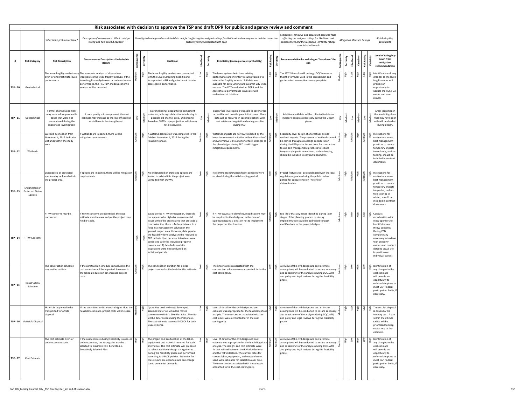| Risk associated with decision to approve the TSP and draft DPR for public and agency review and comment |                                                     |                                                                                                                                      |                                                                                                                                                                                                                                                          |             |                                                                                                                                                                                                       |                                                                                                                                                                                                                                                                                                                                                                                                                                                                                                                                  |              |                         |                                                                                                                                                                                                                                                                                                                                                                                                                                                           |                 |      |                                                                                                                                                                                                                                                                                                                                                                                                             |                                                                                                                                                                                                                                                      |
|---------------------------------------------------------------------------------------------------------|-----------------------------------------------------|--------------------------------------------------------------------------------------------------------------------------------------|----------------------------------------------------------------------------------------------------------------------------------------------------------------------------------------------------------------------------------------------------------|-------------|-------------------------------------------------------------------------------------------------------------------------------------------------------------------------------------------------------|----------------------------------------------------------------------------------------------------------------------------------------------------------------------------------------------------------------------------------------------------------------------------------------------------------------------------------------------------------------------------------------------------------------------------------------------------------------------------------------------------------------------------------|--------------|-------------------------|-----------------------------------------------------------------------------------------------------------------------------------------------------------------------------------------------------------------------------------------------------------------------------------------------------------------------------------------------------------------------------------------------------------------------------------------------------------|-----------------|------|-------------------------------------------------------------------------------------------------------------------------------------------------------------------------------------------------------------------------------------------------------------------------------------------------------------------------------------------------------------------------------------------------------------|------------------------------------------------------------------------------------------------------------------------------------------------------------------------------------------------------------------------------------------------------|
|                                                                                                         |                                                     | What is the problem or issue?                                                                                                        | Description of consequence. What could go<br>wrong and how could it happen?                                                                                                                                                                              |             | Unmitigated ratings and associated data and facts effecting the assigned ratings for likelihood and consequences and the respective<br>certainty ratings associated with each<br>associated with each |                                                                                                                                                                                                                                                                                                                                                                                                                                                                                                                                  |              |                         |                                                                                                                                                                                                                                                                                                                                                                                                                                                           |                 |      | Mitigation Technique and associated data and facts<br>effecting the assigned ratings for likelihood and<br><b>Mitigation Measure Ratings</b><br>consequences and the respective certainty ratings                                                                                                                                                                                                           | <b>Risk Rating Buy</b><br>down Delta                                                                                                                                                                                                                 |
|                                                                                                         | <b>Risk Category</b>                                | <b>Risk Description</b>                                                                                                              | <b>Consequences Description - Undesirable</b><br><b>Results</b>                                                                                                                                                                                          | ں           |                                                                                                                                                                                                       | Likelihood                                                                                                                                                                                                                                                                                                                                                                                                                                                                                                                       | lihood<br>≝  | Certainty               | <b>Risk Rating (consequences x probability)</b>                                                                                                                                                                                                                                                                                                                                                                                                           | Risk            | ථ    | <b>Risk Rating</b><br>inty<br>inty<br>pool<br>ainty<br>Recommendation for reducing or "buy down" the<br>Certa<br>උ<br>亖<br>ပိ                                                                                                                                                                                                                                                                               | Level of rating buy<br>down from<br>mitigation<br>recommendation                                                                                                                                                                                     |
| <b>TSP - 10</b>                                                                                         | Geotechnical                                        | over- or underestimate levee<br>performance.                                                                                         | The levee fragility analysis may The economic analysis of alternatives<br>incorporates the levee fragility analysis. If the<br>levee fragility analysis over- or underestimates<br>performance, the HEC-FDA model/economic<br>analysis will be impacted. |             | <b>High</b>                                                                                                                                                                                           | The levee fragility analysis was conducted<br>with the Levee Screening Tool 2.0 and<br>incorporated H&H and geotechnical data to<br>assess levee performance.                                                                                                                                                                                                                                                                                                                                                                    |              | High                    | The levee systems both have existing<br>performance and inventory results available to<br>inform the fragility analysis. Soil data was<br>available for both Lansing and Calumet City levee<br>systems. The PDT conducted an SQRA and the<br>geotechnical performance issues are well<br>understood at this time.                                                                                                                                         | $\frac{1}{2}$   | Чівр | $\begin{array}{c} \frac{1}{10} \\ \frac{1}{10} \end{array}$<br>$\frac{1}{2}$<br>High<br>Aigh<br>The LST 2.0 results will undergo DQC to ensure<br>mo7<br>edium<br>that the formulas used in the spreadsheet and<br>geotechnical assumptions are appropriate.                                                                                                                                                | Identification of any<br>changes to the levee<br>fragility curve will<br>provide an<br>opportunity to<br>update the HEC-FDA<br>model and econ<br>results.                                                                                            |
| <b>TSP-11</b>                                                                                           | Geotechnical                                        | Former channel alignment<br>may have soft or permeable<br>zones that were not<br>encountered during the<br>subsurface investigation. | If poor quality soils are present, the cost<br>estimate may increase as the levee/floodwall<br>would have to be strengthened.                                                                                                                            |             | Mediu                                                                                                                                                                                                 | Existing borings encountered competent<br>materials; although did not include boring in<br>possible old channel area. Old channel<br>based on 1890's topo projection, which may<br>not be accurate.                                                                                                                                                                                                                                                                                                                              | Mo7          | $\overline{\mathsf{S}}$ | Subsurface investigation was able to cover areas<br>accessible and provide good initial cover. More<br>data will be required in specific locations with<br>real estate and vegetation clearing possible<br>during PED.                                                                                                                                                                                                                                    |                 |      | Additional soil data will be collected to inform<br>Medium<br>Medium<br>$\sum_{i=1}^{n}$<br>Low<br>measure design as necessary during the Design<br>Medi<br>phase                                                                                                                                                                                                                                           | Areas identified in<br>the feasibility phase<br>that may have poor<br>soils will be checked<br>during design.                                                                                                                                        |
| <b>TSP - 12</b>                                                                                         | Wetlands                                            | Wetland delineation from<br>November 4, 2019 indicates<br>wetlands within the study<br>area.                                         | If wetlands are impacted, there will be<br>mitigation requirements.                                                                                                                                                                                      | 흉           | ၜႍ                                                                                                                                                                                                    | A wetland delineation was completed in the<br>field on November 4, 2019 during the<br>Feasibility phase.                                                                                                                                                                                                                                                                                                                                                                                                                         |              | ia<br>Hi                | Wetlands impacts are narrowly avoided by the<br>llevee improvement activities within Alternative 2 $\frac{1}{5}$<br>and Alternative 3 by a matter of feet. Changes to $\vert \Sigma \vert$<br>the plan designs during PED could trigger<br>mitigation requirements.                                                                                                                                                                                       |                 | ᄒ    | Feasibility-level design of alternatives avoids<br>खें<br>म<br>생.<br>도<br>을<br>Medium<br>-<br>ediun<br>wetland impacts. The presence of wetlands should<br>be carried through as a design consideration<br>during the PED phase. Instructions for contractors<br>to use best management practices to reduce<br>temporary impacts to wetlands, such as fencing,<br>should be included in contract documents. | Instructions for<br>contractors to use<br>best management<br>practices to reduce<br>temporary impacts<br>to wetlands, such as<br>fencing, should be<br>included in contract<br>documents.                                                            |
| <b>TSP - 13</b>                                                                                         | Endangered or<br><b>Protected Status</b><br>Species | Endangered or protected<br>species may be found within<br>the project area.                                                          | If species are impacted, there will be mitigation<br>requirements.                                                                                                                                                                                       |             |                                                                                                                                                                                                       | No endangered or protected species are<br>known to exist within the project area.<br>Consulted with USFWS                                                                                                                                                                                                                                                                                                                                                                                                                        |              |                         | No comments noting significant concerns were<br>received during the initial scoping period.                                                                                                                                                                                                                                                                                                                                                               | $\overline{10}$ | Aigh | Medium<br>Project features will be coordinated with the local<br><u>ag</u><br>ξ<br>regulatory agencies during the public review<br>횽<br>period for concurrence on "no effect"<br>determination.                                                                                                                                                                                                             | Instructions for<br>contractors to use<br>best management<br>practices to reduce<br>temporary impacts<br>to species, such as<br>tree clearing in<br>winter, should be<br>included in contract<br>documents.                                          |
|                                                                                                         | TSP-14   HTRW Concerns                              | HTRW concerns may be<br>uncovered.                                                                                                   | If HTRW concerns are identified, the cost<br>estimate may increase and/or the project may<br>not be viable.                                                                                                                                              | <b>High</b> |                                                                                                                                                                                                       | Based on the HTRW investigation, there do<br>not appear to be high risk environmental<br>issues within the project area that preclude a<br>conclusion that there is Federal interest in a<br>flood risk management solution in the<br>general project area. However, data gaps in<br>the feasibility-level analysis to be resolved in<br>PED include 1) no personal interviews were<br>conducted with the individual property<br>owners, and 2) detailed visual site<br>inspections were not conducted on<br>individual parcels. |              |                         | If HTRW issues are identified, modifications may<br>be required to the design or, in the case of<br>significant issues, a decision not to implement<br>the project at that location.                                                                                                                                                                                                                                                                      | ediu<br>Σ       | ᅵ᠊ᠲ  | Low<br>mujpa<br><u>ର୍କ</u> ୍<br>$\delta$<br>Чigh<br>It is likely that any issues identified during later<br>stages of the planning process or during<br>implementation could be addressed through<br>modifications to the project designs.                                                                                                                                                                  | Conduct<br>coordination with<br>study sponsors to<br>identify known<br>HTRW concerns.<br>During PED,<br>complete any<br>necessary interviews<br>with property<br>owners and conduct<br>detailed visual site<br>inspections on<br>individual parcels. |
| <b>TSP - 15</b>                                                                                         | Construction<br>Schedule                            | The construction schedule<br>may not be realistic.                                                                                   | If the construction schedule is inaccurate, the<br>cost escalation will be impacted. Increases to<br>the schedule duration can increase project<br>costs.                                                                                                |             |                                                                                                                                                                                                       | The construction duration for similar<br>projects served as the basis for this estimate.                                                                                                                                                                                                                                                                                                                                                                                                                                         | $\mathsf{S}$ |                         | The uncertainties associated with the<br>construction schedule were accounted for in the<br>cost contingency.                                                                                                                                                                                                                                                                                                                                             | $\mathsf{S}$    |      | $\tilde{\varepsilon}$<br>Low<br>A review of the civil design and cost estimate<br>diu<br>assumptions will be conducted to ensure adequacy<br>and consistency of the analyses during DQC, ATR,<br>and policy and legal reviews during the feasibility<br>phase.                                                                                                                                              | $\frac{2}{50}$ Identification of<br>any changes to the<br>cost estimate<br>will provide an<br>opportunity to<br>reformulate plans to<br>meet CAP Federal<br>participation limits, if<br>necessary.                                                   |
|                                                                                                         | <b>TSP - 16</b>   Materials Disposal                | Materials may need to be<br>transported for offsite<br>disposal.                                                                     | If the quantities or distance are higher than the $\vert$<br>Feasibility estimate, project costs will increase.                                                                                                                                          |             |                                                                                                                                                                                                       | Quantities used and costs developed<br>assumed materials would be moved<br>somewhere within a 20 mile radius. The site<br>will be determined during the PED phase.<br>The cost estimate assumed 3000CY for both<br>levee systems.                                                                                                                                                                                                                                                                                                |              |                         | estimate was appropriate for the feasibility phase $\begin{bmatrix} 8 \\ 3 \\ 4 \end{bmatrix}$ .<br>cost inputs were accounted for in the cost<br>contingency.                                                                                                                                                                                                                                                                                            |                 |      | Low<br>읎<br>Low<br>ligh<br>High<br>A review of the civil design and cost estimate<br>assumptions will be conducted to ensure adequacy<br>and consistency of the analyses during DQC, ATR,<br>and policy and legal reviews during the feasibility<br>phase                                                                                                                                                   | The cost for disposal<br>is driven by the<br>trucking cost. A site<br>within the 20 mile<br>radius will be<br>prioritized to keep<br>costs close to the<br>estimate.                                                                                 |
| $TSP - 17$                                                                                              | <b>Cost Estimate</b>                                | The cost estimate over- or<br>underestimates costs.                                                                                  | if the cost estimate during Feasibility is over- or<br>underestimated, the wrong plan may be<br>selected to maximize NED benefits, i.e.,<br>Tentatively Selected Plan.                                                                                   | 신.<br>도     | Чівр                                                                                                                                                                                                  | The project cost is a function of the labor,<br>equipment, and material required for each<br>alternative. The cost estimate was prepared<br>to reflect additional design data gathered<br>during the feasibility phase and performed<br>according to USACE policies. Estimates for<br>these inputs are uncertain and can change<br>based on market demands.                                                                                                                                                                      |              |                         | Level of detail for the civil design and cost<br>estimate was appropriate for the feasibility phase $\frac{1}{5}$ analysis. The designs and cost estimate were<br>further refined between the FAAM milestone<br>and the TSP milestone. The current rates for<br>current labor, equipment, and material were<br>used, with estimates for escalation over time.<br>The uncertainties associated with these inputs<br>accounted for in the cost contingency. |                 |      | $\overline{\phantom{0}}$<br>$\frac{1}{2}$<br>uāi.<br>A review of the civil design and cost estimate<br><b>NOT</b><br> assumptions will be conducted to ensure adequacy $\frac{1}{2}$<br>and consistency of the analyses during DQC, ATR,<br>and policy and legal reviews during the feasibility<br>phase.                                                                                                   | Identification of<br>any changes to the<br>cost estimate<br>will provide an<br>opportunity to<br>reformulate plans to<br>meet CAP Federal<br>participation limits, if<br>necessary.                                                                  |